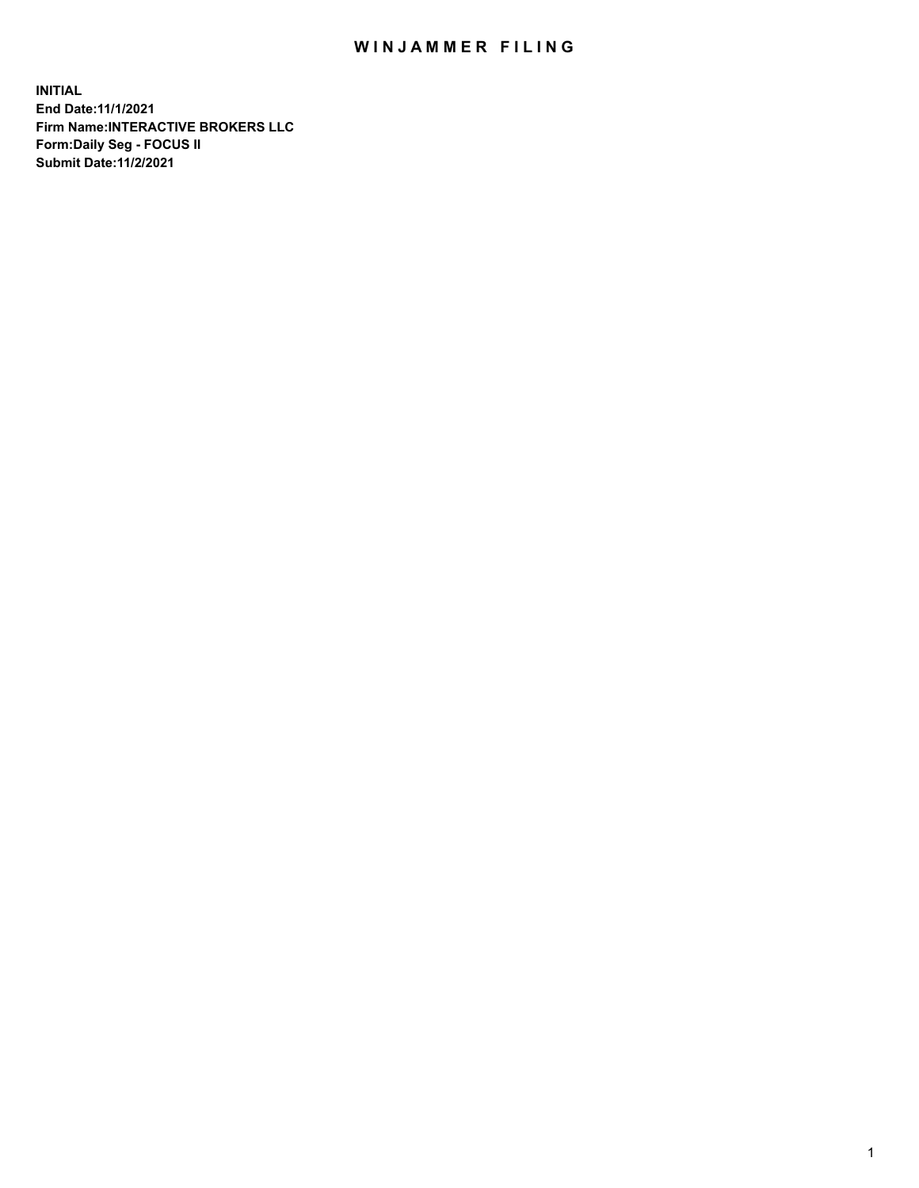## WIN JAMMER FILING

**INITIAL End Date:11/1/2021 Firm Name:INTERACTIVE BROKERS LLC Form:Daily Seg - FOCUS II Submit Date:11/2/2021**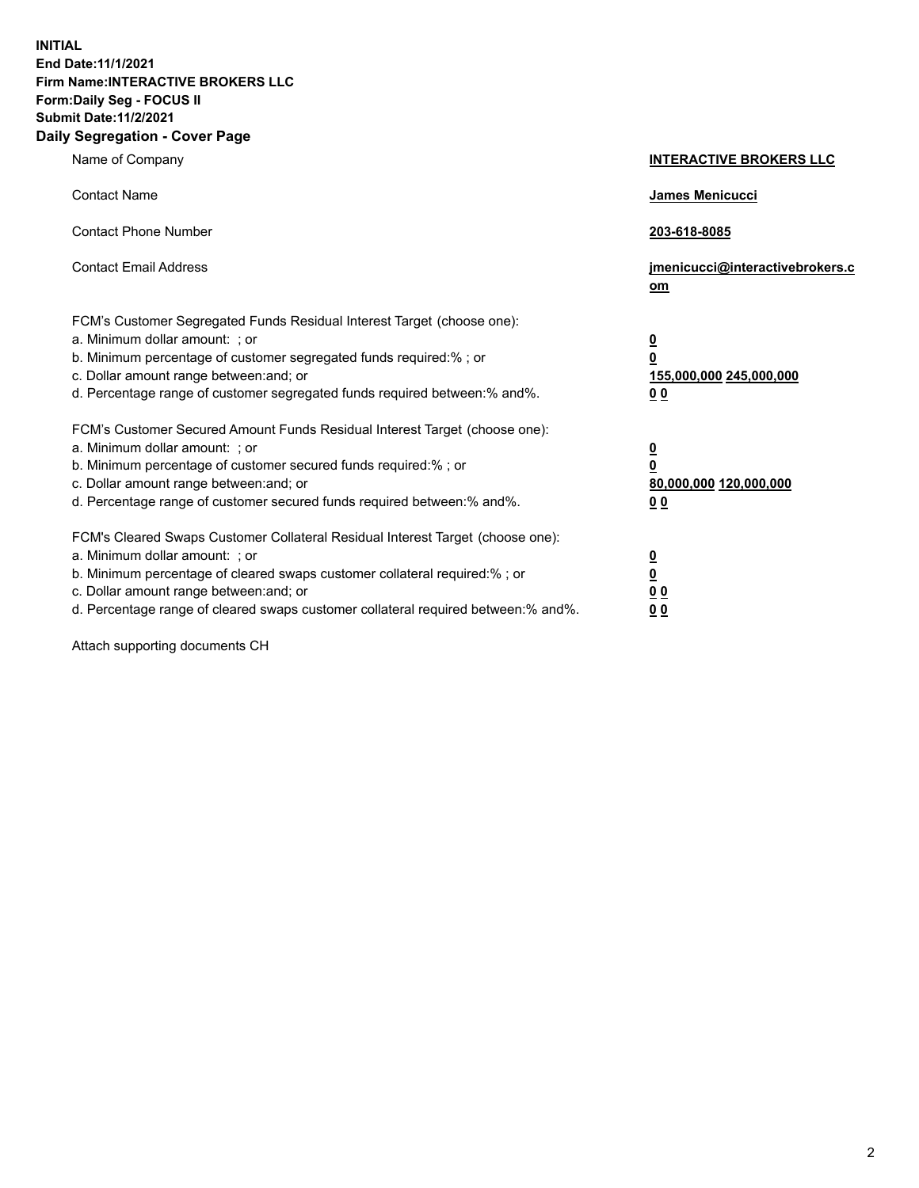**INITIAL End Date:11/1/2021 Firm Name:INTERACTIVE BROKERS LLC Form:Daily Seg - FOCUS II Submit Date:11/2/2021 Daily Segregation - Cover Page**

| Name of Company                                                                                                                                                                                                                                                                                                                | <b>INTERACTIVE BROKERS LLC</b>                                                                  |
|--------------------------------------------------------------------------------------------------------------------------------------------------------------------------------------------------------------------------------------------------------------------------------------------------------------------------------|-------------------------------------------------------------------------------------------------|
| <b>Contact Name</b>                                                                                                                                                                                                                                                                                                            | James Menicucci                                                                                 |
| <b>Contact Phone Number</b>                                                                                                                                                                                                                                                                                                    | 203-618-8085                                                                                    |
| <b>Contact Email Address</b>                                                                                                                                                                                                                                                                                                   | jmenicucci@interactivebrokers.c<br>$om$                                                         |
| FCM's Customer Segregated Funds Residual Interest Target (choose one):<br>a. Minimum dollar amount: ; or<br>b. Minimum percentage of customer segregated funds required:% ; or<br>c. Dollar amount range between: and; or<br>d. Percentage range of customer segregated funds required between:% and%.                         | $\overline{\mathbf{0}}$<br>$\overline{\mathbf{0}}$<br>155,000,000 245,000,000<br>0 <sub>0</sub> |
| FCM's Customer Secured Amount Funds Residual Interest Target (choose one):<br>a. Minimum dollar amount: ; or<br>b. Minimum percentage of customer secured funds required:%; or<br>c. Dollar amount range between: and; or<br>d. Percentage range of customer secured funds required between:% and%.                            | $\overline{\mathbf{0}}$<br>$\overline{\mathbf{0}}$<br>80,000,000 120,000,000<br>0 <sub>0</sub>  |
| FCM's Cleared Swaps Customer Collateral Residual Interest Target (choose one):<br>a. Minimum dollar amount: ; or<br>b. Minimum percentage of cleared swaps customer collateral required:% ; or<br>c. Dollar amount range between: and; or<br>d. Percentage range of cleared swaps customer collateral required between:% and%. | $\overline{\mathbf{0}}$<br><u>0</u><br>0 <sub>0</sub><br>0 <sub>0</sub>                         |

Attach supporting documents CH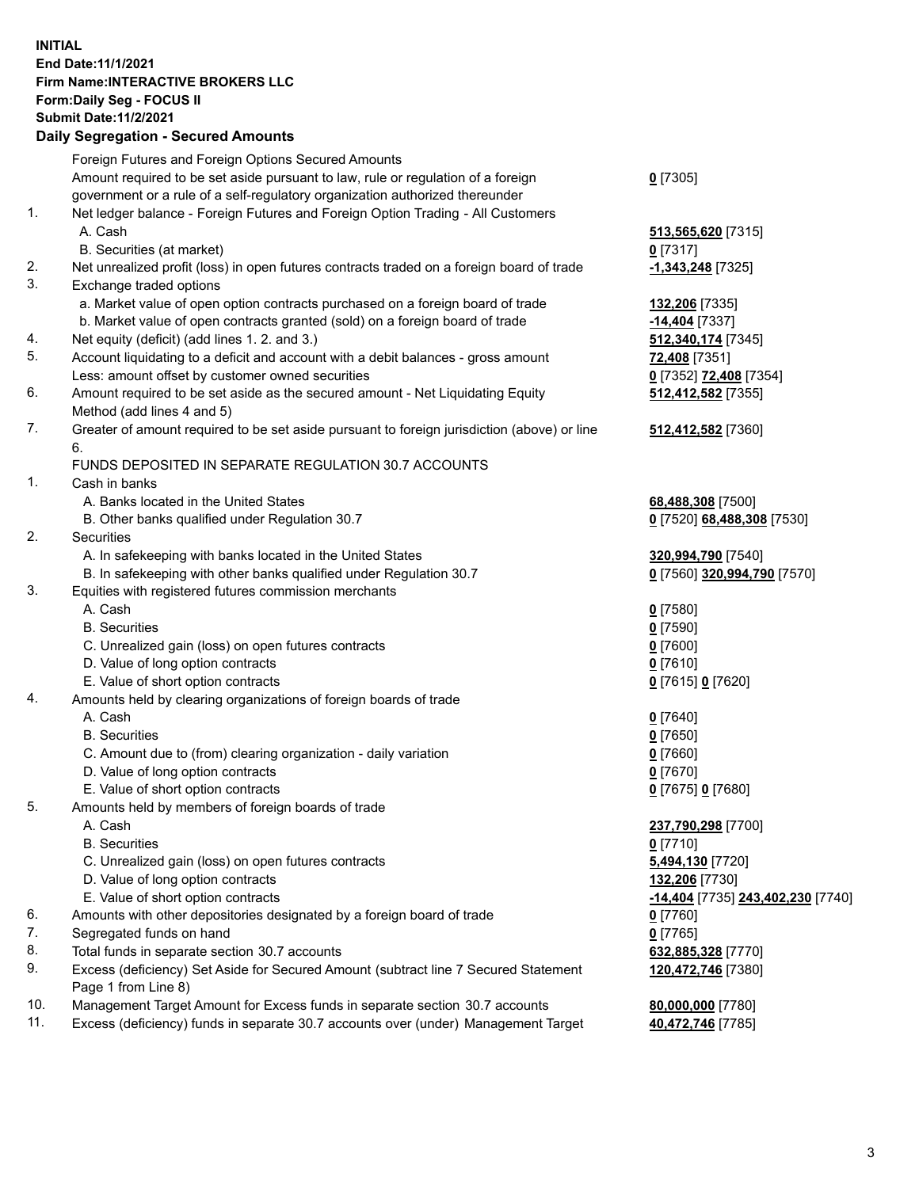## **INITIAL End Date:11/1/2021 Firm Name:INTERACTIVE BROKERS LLC Form:Daily Seg - FOCUS II Submit Date:11/2/2021 Daily Segregation - Secured Amounts**

|     | Daily Segregation - Secured Aniounts                                                                       |                                          |
|-----|------------------------------------------------------------------------------------------------------------|------------------------------------------|
|     | Foreign Futures and Foreign Options Secured Amounts                                                        |                                          |
|     | Amount required to be set aside pursuant to law, rule or regulation of a foreign                           | $0$ [7305]                               |
|     | government or a rule of a self-regulatory organization authorized thereunder                               |                                          |
| 1.  | Net ledger balance - Foreign Futures and Foreign Option Trading - All Customers                            |                                          |
|     | A. Cash                                                                                                    | 513,565,620 [7315]                       |
|     | B. Securities (at market)                                                                                  | $0$ [7317]                               |
| 2.  | Net unrealized profit (loss) in open futures contracts traded on a foreign board of trade                  | -1,343,248 [7325]                        |
| 3.  | Exchange traded options                                                                                    |                                          |
|     | a. Market value of open option contracts purchased on a foreign board of trade                             | 132,206 [7335]                           |
|     | b. Market value of open contracts granted (sold) on a foreign board of trade                               | -14,404 [7337]                           |
| 4.  | Net equity (deficit) (add lines 1. 2. and 3.)                                                              | 512,340,174 [7345]                       |
| 5.  | Account liquidating to a deficit and account with a debit balances - gross amount                          | 72,408 [7351]                            |
|     | Less: amount offset by customer owned securities                                                           | 0 [7352] 72,408 [7354]                   |
| 6.  | Amount required to be set aside as the secured amount - Net Liquidating Equity                             | 512,412,582 [7355]                       |
|     | Method (add lines 4 and 5)                                                                                 |                                          |
| 7.  | Greater of amount required to be set aside pursuant to foreign jurisdiction (above) or line                | 512,412,582 [7360]                       |
|     | 6.                                                                                                         |                                          |
|     | FUNDS DEPOSITED IN SEPARATE REGULATION 30.7 ACCOUNTS                                                       |                                          |
| 1.  | Cash in banks                                                                                              |                                          |
|     | A. Banks located in the United States                                                                      | 68,488,308 [7500]                        |
|     | B. Other banks qualified under Regulation 30.7                                                             | 0 [7520] 68,488,308 [7530]               |
| 2.  | Securities                                                                                                 |                                          |
|     | A. In safekeeping with banks located in the United States                                                  | 320,994,790 [7540]                       |
|     | B. In safekeeping with other banks qualified under Regulation 30.7                                         | 0 [7560] 320,994,790 [7570]              |
| 3.  | Equities with registered futures commission merchants                                                      |                                          |
|     | A. Cash                                                                                                    | $0$ [7580]                               |
|     | <b>B.</b> Securities                                                                                       | $0$ [7590]                               |
|     | C. Unrealized gain (loss) on open futures contracts                                                        | $0$ [7600]                               |
|     | D. Value of long option contracts                                                                          | $0$ [7610]                               |
|     | E. Value of short option contracts                                                                         | 0 [7615] 0 [7620]                        |
| 4.  | Amounts held by clearing organizations of foreign boards of trade                                          |                                          |
|     | A. Cash                                                                                                    | $0$ [7640]                               |
|     | <b>B.</b> Securities                                                                                       | $0$ [7650]                               |
|     | C. Amount due to (from) clearing organization - daily variation                                            | $0$ [7660]                               |
|     | D. Value of long option contracts                                                                          | $0$ [7670]                               |
|     | E. Value of short option contracts                                                                         | 0 [7675] 0 [7680]                        |
| 5.  | Amounts held by members of foreign boards of trade                                                         |                                          |
|     | A. Cash                                                                                                    | 237,790,298 [7700]                       |
|     | <b>B.</b> Securities                                                                                       | $0$ [7710]                               |
|     | C. Unrealized gain (loss) on open futures contracts                                                        | 5,494,130 [7720]                         |
|     | D. Value of long option contracts                                                                          | 132,206 [7730]                           |
|     | E. Value of short option contracts                                                                         | <u>-14,404</u> [7735] 243,402,230 [7740] |
| 6.  | Amounts with other depositories designated by a foreign board of trade                                     | $0$ [7760]                               |
| 7.  | Segregated funds on hand                                                                                   | $0$ [7765]                               |
| 8.  | Total funds in separate section 30.7 accounts                                                              | 632,885,328 [7770]                       |
| 9.  | Excess (deficiency) Set Aside for Secured Amount (subtract line 7 Secured Statement<br>Page 1 from Line 8) | 120,472,746 [7380]                       |
| 10. | Management Target Amount for Excess funds in separate section 30.7 accounts                                | 80,000,000 [7780]                        |
| 11. | Excess (deficiency) funds in separate 30.7 accounts over (under) Management Target                         | 40,472,746 [7785]                        |
|     |                                                                                                            |                                          |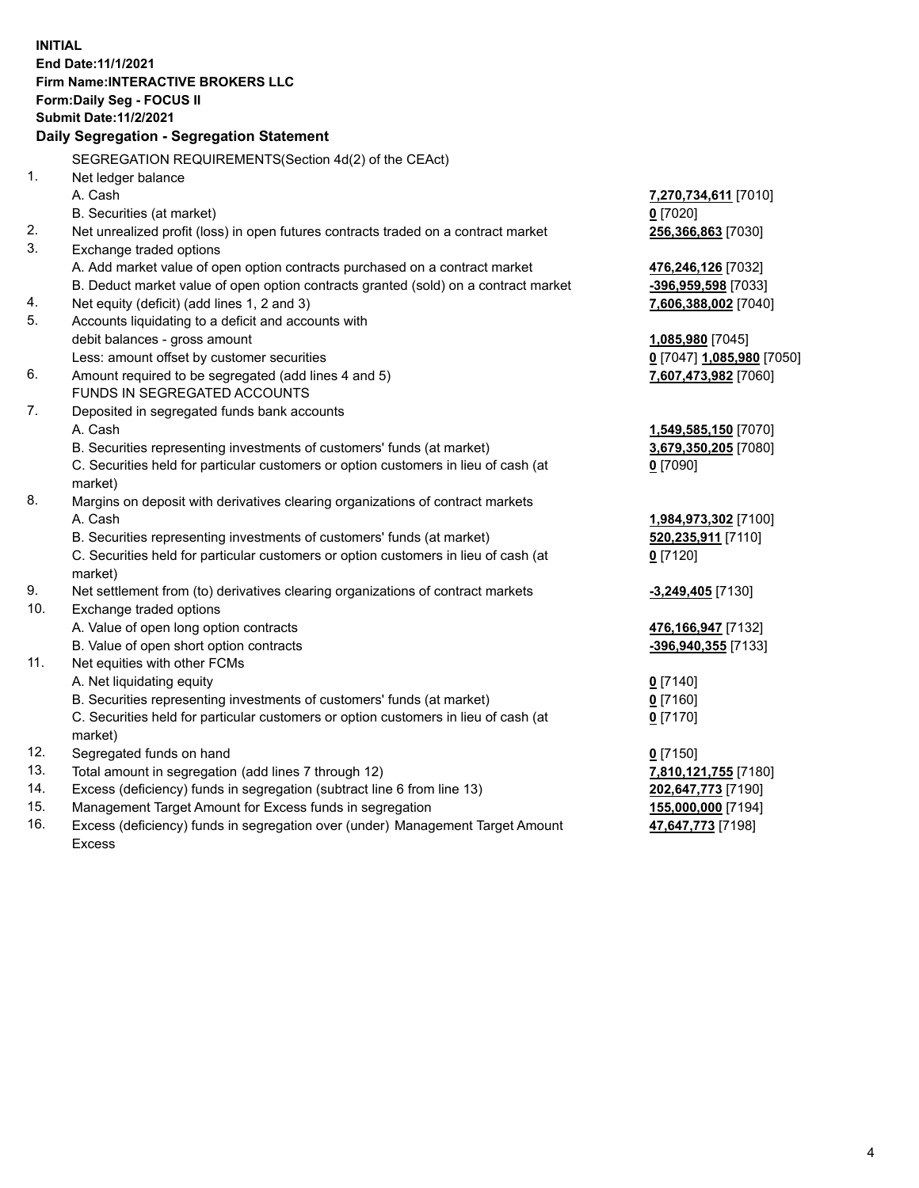**INITIAL End Date:11/1/2021 Firm Name:INTERACTIVE BROKERS LLC Form:Daily Seg - FOCUS II Submit Date:11/2/2021 Daily Segregation - Segregation Statement** SEGREGATION REQUIREMENTS(Section 4d(2) of the CEAct) 1. Net ledger balance A. Cash **7,270,734,611** [7010] B. Securities (at market) **0** [7020] 2. Net unrealized profit (loss) in open futures contracts traded on a contract market **256,366,863** [7030] 3. Exchange traded options A. Add market value of open option contracts purchased on a contract market **476,246,126** [7032] B. Deduct market value of open option contracts granted (sold) on a contract market **-396,959,598** [7033] 4. Net equity (deficit) (add lines 1, 2 and 3) **7,606,388,002** [7040] 5. Accounts liquidating to a deficit and accounts with debit balances - gross amount **1,085,980** [7045] Less: amount offset by customer securities **0** [7047] **1,085,980** [7050] 6. Amount required to be segregated (add lines 4 and 5) **7,607,473,982** [7060] FUNDS IN SEGREGATED ACCOUNTS 7. Deposited in segregated funds bank accounts A. Cash **1,549,585,150** [7070] B. Securities representing investments of customers' funds (at market) **3,679,350,205** [7080] C. Securities held for particular customers or option customers in lieu of cash (at market) **0** [7090] 8. Margins on deposit with derivatives clearing organizations of contract markets A. Cash **1,984,973,302** [7100] B. Securities representing investments of customers' funds (at market) **520,235,911** [7110] C. Securities held for particular customers or option customers in lieu of cash (at market) **0** [7120] 9. Net settlement from (to) derivatives clearing organizations of contract markets **-3,249,405** [7130] 10. Exchange traded options A. Value of open long option contracts **476,166,947** [7132] B. Value of open short option contracts **-396,940,355** [7133] 11. Net equities with other FCMs A. Net liquidating equity **0** [7140] B. Securities representing investments of customers' funds (at market) **0** [7160] C. Securities held for particular customers or option customers in lieu of cash (at market) **0** [7170] 12. Segregated funds on hand **0** [7150] 13. Total amount in segregation (add lines 7 through 12) **7,810,121,755** [7180] 14. Excess (deficiency) funds in segregation (subtract line 6 from line 13) **202,647,773** [7190] 15. Management Target Amount for Excess funds in segregation **155,000,000** [7194]

16. Excess (deficiency) funds in segregation over (under) Management Target Amount Excess

**47,647,773** [7198]